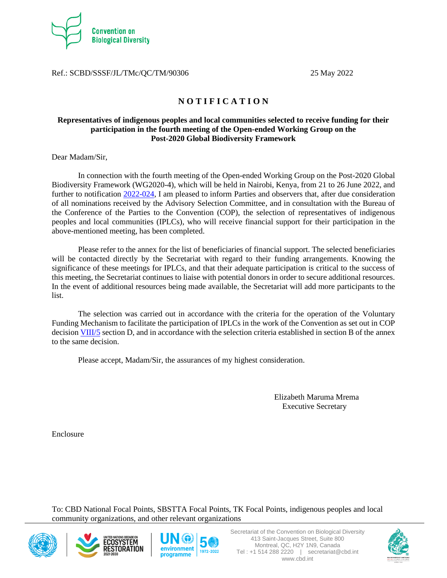

Ref.: SCBD/SSSF/JL/TMc/QC/TM/90306 25 May 2022

# **N O T I F I C A T I O N**

# **Representatives of indigenous peoples and local communities selected to receive funding for their participation in the fourth meeting of the Open-ended Working Group on the Post-2020 Global Biodiversity Framework**

Dear Madam/Sir,

In connection with the fourth meeting of the Open-ended Working Group on the Post-2020 Global Biodiversity Framework (WG2020-4), which will be held in Nairobi, Kenya, from 21 to 26 June 2022, and further to notification [2022-024,](https://www.cbd.int/doc/notifications/2022/ntf-2022-024-wg20204-en.pdf) I am pleased to inform Parties and observers that, after due consideration of all nominations received by the Advisory Selection Committee, and in consultation with the Bureau of the Conference of the Parties to the Convention (COP), the selection of representatives of indigenous peoples and local communities (IPLCs), who will receive financial support for their participation in the above-mentioned meeting, has been completed.

Please refer to the annex for the list of beneficiaries of financial support. The selected beneficiaries will be contacted directly by the Secretariat with regard to their funding arrangements. Knowing the significance of these meetings for IPLCs, and that their adequate participation is critical to the success of this meeting, the Secretariat continues to liaise with potential donors in order to secure additional resources. In the event of additional resources being made available, the Secretariat will add more participants to the list.

The selection was carried out in accordance with the criteria for the operation of the Voluntary Funding Mechanism to facilitate the participation of IPLCs in the work of the Convention as set out in COP decision [VIII/5](https://www.cbd.int/doc/decisions/cop-08/cop-08-dec-05-en.pdf) section D, and in accordance with the selection criteria established in section B of the annex to the same decision.

Please accept, Madam/Sir, the assurances of my highest consideration.

Elizabeth Maruma Mrema Executive Secretary

Enclosure

To: CBD National Focal Points, SBSTTA Focal Points, TK Focal Points, indigenous peoples and local community organizations, and other relevant organizations